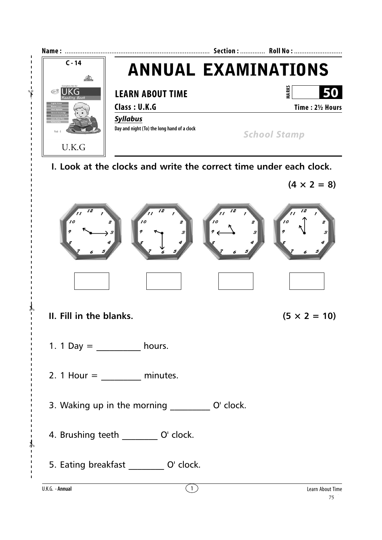



- **II. Fill in the blanks.**  $(5 \times 2 = 10)$
- 1. 1 Day  $=$  hours.
- 2. 1 Hour =  $\frac{1}{2}$  minutes.
- 3. Waking up in the morning  $Q'$  clock.
- 4. Brushing teeth \_\_\_\_\_\_\_\_\_ O' clock.
- 5. Eating breakfast \_\_\_\_\_\_\_\_\_ O' clock.

✃

✃

✃

 $\overline{1}$ 

 $\mathbf{I}$ 

 $\mathbf{I}$  $\mathbf{I}$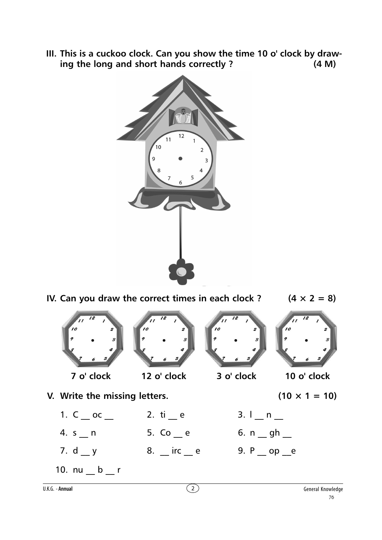**III. This is a cuckoo clock. Can you show the time 10 o' clock by drawing the long and short hands correctly ? (4 M)**



**IV. Can you draw the correct times in each clock ?**  $(4 \times 2 = 8)$ **7 o' clock 12 o' clock 3 o' clock 10 o' clock V.** Write the missing letters. (10  $\times$  1 = 10) 1.  $C \_{\rm oc}$   $C \_{\rm c}$   $C \_{\rm c}$   $C \_{\rm c}$   $C \_{\rm c}$   $C \_{\rm c}$   $C \_{\rm c}$   $C \_{\rm c}$   $C \_{\rm c}$   $C \_{\rm c}$   $C \_{\rm c}$   $C \_{\rm c}$   $C \_{\rm c}$   $C \_{\rm c}$   $C \_{\rm c}$   $C \_{\rm c}$   $C \_{\rm c}$   $C \_{\rm c}$   $C \_{\rm c}$   $C \_{\rm c}$   $C \_{\rm c}$   $C \_{\rm c}$  $4. s$  n 5. Co e 6. n gh 7. d \_\_ y 8. \_\_ irc \_\_ e 9. P \_\_ op \_\_ e 10.  $nu_b$   $r$